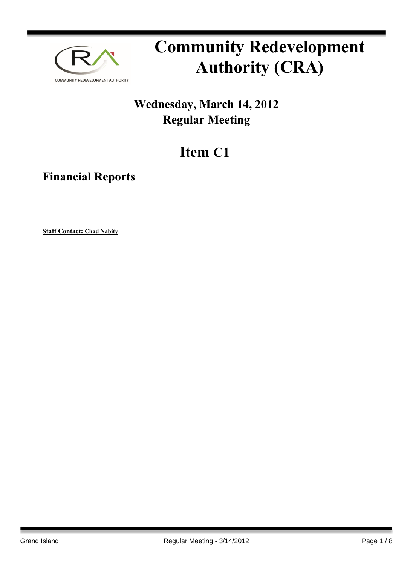

# **Community Redevelopment Authority (CRA)**

### **Wednesday, March 14, 2012 Regular Meeting**

## **Item C1**

**Financial Reports**

**Staff Contact: Chad Nabity**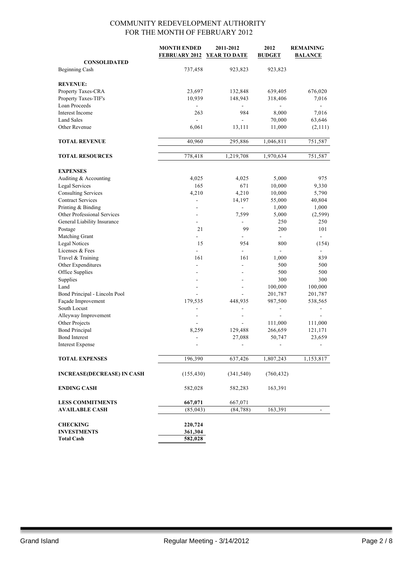|                                         | <b>MONTH ENDED</b><br><b>FEBRUARY 2012</b> | 2011-2012<br><b>YEAR TO DATE</b> | 2012<br><b>BUDGET</b>        | <b>REMAINING</b><br><b>BALANCE</b> |
|-----------------------------------------|--------------------------------------------|----------------------------------|------------------------------|------------------------------------|
| <b>CONSOLIDATED</b>                     |                                            |                                  |                              |                                    |
| <b>Beginning Cash</b>                   | 737,458                                    | 923,823                          | 923,823                      |                                    |
|                                         |                                            |                                  |                              |                                    |
| <b>REVENUE:</b>                         |                                            |                                  |                              |                                    |
| Property Taxes-CRA                      | 23,697                                     | 132,848                          | 639,405                      | 676,020                            |
| Property Taxes-TIF's                    | 10,939                                     | 148,943                          | 318,406                      | 7,016                              |
| Loan Proceeds                           |                                            | $\blacksquare$                   |                              |                                    |
| Interest Income                         | 263                                        | 984                              | 8,000                        | 7,016                              |
| <b>Land Sales</b>                       | $\overline{a}$                             | $\overline{\phantom{0}}$         | 70,000                       | 63,646                             |
| Other Revenue                           | 6,061                                      | 13,111                           | 11,000                       | (2,111)                            |
|                                         |                                            |                                  |                              |                                    |
| <b>TOTAL REVENUE</b>                    | 40,960                                     | 295,886                          | 1,046,811                    | 751,587                            |
|                                         |                                            |                                  |                              |                                    |
| <b>TOTAL RESOURCES</b>                  | 778,418                                    | 1,219,708                        | 1,970,634                    | 751,587                            |
|                                         |                                            |                                  |                              |                                    |
| <b>EXPENSES</b>                         |                                            |                                  |                              |                                    |
| Auditing & Accounting                   | 4,025                                      | 4,025                            | 5,000                        | 975                                |
| Legal Services                          | 165                                        | 671                              | 10,000                       | 9,330                              |
| <b>Consulting Services</b>              | 4,210                                      | 4,210                            | 10,000                       | 5,790                              |
| <b>Contract Services</b>                | $\blacksquare$                             | 14,197                           | 55,000                       | 40,804                             |
| Printing & Binding                      |                                            | $\overline{\phantom{a}}$         | 1,000                        | 1,000                              |
| Other Professional Services             |                                            | 7,599                            | 5,000                        | (2, 599)                           |
| General Liability Insurance             |                                            | ÷,                               | 250                          | 250                                |
| Postage                                 | 21                                         | 99                               | 200                          | 101                                |
| Matching Grant                          |                                            |                                  | $\blacksquare$               |                                    |
| <b>Legal Notices</b><br>Licenses & Fees | 15                                         | 954                              | 800                          | (154)                              |
| Travel & Training                       | 161                                        | 161                              | 1,000                        | 839                                |
| Other Expenditures                      |                                            |                                  | 500                          | 500                                |
| Office Supplies                         |                                            |                                  | 500                          | 500                                |
| Supplies                                |                                            |                                  | 300                          | 300                                |
| Land                                    |                                            |                                  | 100,000                      | 100,000                            |
| Bond Principal - Lincoln Pool           |                                            | ÷                                | 201,787                      | 201,787                            |
| Façade Improvement                      | 179,535                                    | 448,935                          | 987,500                      | 538,565                            |
| South Locust                            |                                            | $\overline{\phantom{a}}$         | $\qquad \qquad \blacksquare$ |                                    |
| Alleyway Improvement                    |                                            | $\overline{\phantom{a}}$         |                              |                                    |
| Other Projects                          |                                            |                                  | 111,000                      | 111,000                            |
| <b>Bond Principal</b>                   | 8,259                                      | 129,488                          | 266,659                      | 121,171                            |
| <b>Bond Interest</b>                    |                                            | 27,088                           | 50,747                       | 23,659                             |
| Interest Expense                        |                                            | $\overline{a}$                   | $\overline{\phantom{a}}$     |                                    |
|                                         |                                            |                                  |                              |                                    |
| <b>TOTAL EXPENSES</b>                   | 196,390                                    | 637,426                          | 1,807,243                    | 1,153,817                          |
| <b>INCREASE(DECREASE) IN CASH</b>       | (155, 430)                                 | (341, 540)                       | (760, 432)                   |                                    |
| <b>ENDING CASH</b>                      | 582,028                                    | 582,283                          | 163,391                      |                                    |
| <b>LESS COMMITMENTS</b>                 | 667,071                                    | 667,071                          |                              |                                    |
| <b>AVAILABLE CASH</b>                   | (85, 043)                                  | (84, 788)                        | 163,391                      |                                    |
|                                         |                                            |                                  |                              |                                    |
| <b>CHECKING</b>                         | 220,724                                    |                                  |                              |                                    |
| <b>INVESTMENTS</b>                      | 361,304                                    |                                  |                              |                                    |
| <b>Total Cash</b>                       | 582,028                                    |                                  |                              |                                    |
|                                         |                                            |                                  |                              |                                    |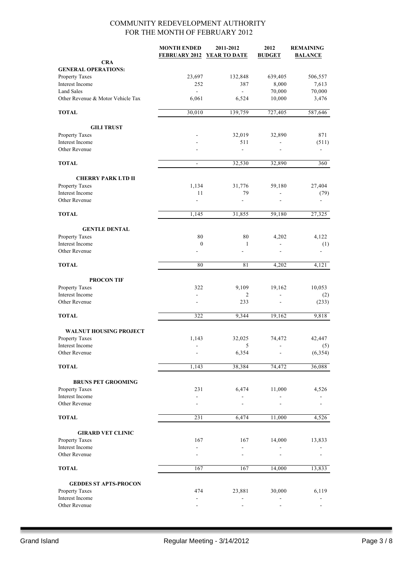|                                   | <b>MONTH ENDED</b><br>FEBRUARY 2012 YEAR TO DATE | 2011-2012    | 2012<br><b>BUDGET</b> | <b>REMAINING</b><br><b>BALANCE</b> |
|-----------------------------------|--------------------------------------------------|--------------|-----------------------|------------------------------------|
| <b>CRA</b>                        |                                                  |              |                       |                                    |
| <b>GENERAL OPERATIONS:</b>        |                                                  |              |                       |                                    |
| Property Taxes                    | 23,697                                           | 132,848      | 639,405               | 506,557                            |
| Interest Income                   | 252                                              | 387          | 8,000                 | 7,613                              |
| <b>Land Sales</b>                 | $\overline{\phantom{a}}$                         | ÷.           | 70,000                | 70,000                             |
| Other Revenue & Motor Vehicle Tax | 6,061                                            | 6,524        | 10,000                | 3,476                              |
| <b>TOTAL</b>                      | 30,010                                           | 139,759      | 727,405               | 587,646                            |
| <b>GILI TRUST</b>                 |                                                  |              |                       |                                    |
| Property Taxes                    |                                                  | 32,019       | 32,890                | 871                                |
| Interest Income                   |                                                  | 511          |                       | (511)                              |
| Other Revenue                     |                                                  | ÷,           |                       |                                    |
| <b>TOTAL</b>                      | $\overline{\phantom{a}}$                         | 32,530       | 32,890                | 360                                |
| <b>CHERRY PARK LTD II</b>         |                                                  |              |                       |                                    |
| Property Taxes                    | 1,134                                            | 31,776       | 59,180                | 27,404                             |
| Interest Income                   | 11                                               | 79           | $\overline{a}$        | (79)                               |
| Other Revenue                     |                                                  | ٠            |                       |                                    |
| <b>TOTAL</b>                      | 1,145                                            | 31,855       | 59,180                | 27,325                             |
| <b>GENTLE DENTAL</b>              |                                                  |              |                       |                                    |
| Property Taxes                    | 80                                               | 80           | 4,202                 | 4,122                              |
| Interest Income                   | $\boldsymbol{0}$                                 | $\mathbf{1}$ |                       | (1)                                |
| Other Revenue                     |                                                  |              |                       |                                    |
| <b>TOTAL</b>                      | 80                                               | 81           | 4,202                 | 4,121                              |
| <b>PROCON TIF</b>                 |                                                  |              |                       |                                    |
| Property Taxes                    | 322                                              | 9,109        | 19,162                | 10,053                             |
| Interest Income                   |                                                  | 2            | ÷,                    | (2)                                |
| Other Revenue                     | $\overline{\phantom{a}}$                         | 233          | ÷                     | (233)                              |
| <b>TOTAL</b>                      | 322                                              | 9,344        | 19,162                | 9,818                              |
| <b>WALNUT HOUSING PROJECT</b>     |                                                  |              |                       |                                    |
| Property Taxes                    | 1,143                                            | 32,025       | 74,472                | 42,447                             |
| Interest Income                   |                                                  | 5            |                       | (5)                                |
| Other Revenue                     |                                                  | 6,354        |                       | (6, 354)                           |
| <b>TOTAL</b>                      | 1,143                                            | 38,384       | 74,472                | 36,088                             |
|                                   |                                                  |              |                       |                                    |
| <b>BRUNS PET GROOMING</b>         |                                                  |              |                       |                                    |
| Property Taxes                    | 231                                              | 6,474        | 11,000                | 4,526                              |
| Interest Income<br>Other Revenue  |                                                  |              |                       |                                    |
| <b>TOTAL</b>                      | 231                                              | 6,474        | 11,000                | 4,526                              |
|                                   |                                                  |              |                       |                                    |
| <b>GIRARD VET CLINIC</b>          |                                                  |              |                       |                                    |
| Property Taxes                    | 167                                              | 167          | 14,000                | 13,833                             |
| Interest Income<br>Other Revenue  |                                                  |              |                       |                                    |
|                                   |                                                  |              |                       |                                    |
| <b>TOTAL</b>                      | 167                                              | 167          | 14,000                | 13,833                             |
| <b>GEDDES ST APTS-PROCON</b>      |                                                  |              |                       |                                    |
| Property Taxes                    | 474                                              | 23,881       | 30,000                | 6,119                              |
| Interest Income                   | $\overline{\phantom{a}}$                         |              |                       |                                    |
| Other Revenue                     |                                                  |              |                       |                                    |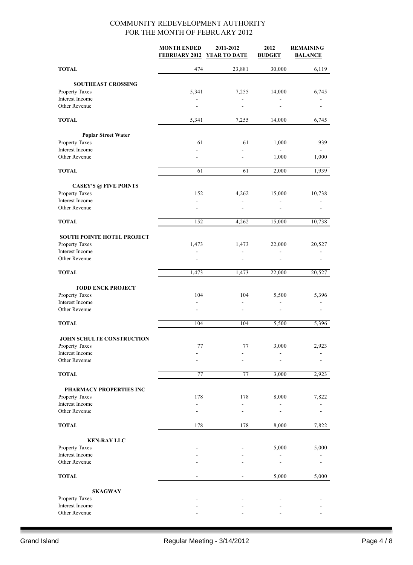|                                                     | <b>MONTH ENDED</b> | 2011-2012<br>FEBRUARY 2012 YEAR TO DATE | 2012<br><b>BUDGET</b> | <b>REMAINING</b><br><b>BALANCE</b> |
|-----------------------------------------------------|--------------------|-----------------------------------------|-----------------------|------------------------------------|
| <b>TOTAL</b>                                        | 474                | 23,881                                  | 30,000                | 6,119                              |
| <b>SOUTHEAST CROSSING</b>                           |                    |                                         |                       |                                    |
| Property Taxes                                      | 5,341              | 7,255                                   | 14,000                | 6,745                              |
| Interest Income                                     |                    | L,                                      |                       |                                    |
| Other Revenue                                       |                    |                                         |                       |                                    |
| <b>TOTAL</b>                                        | 5,341              | 7,255                                   | 14,000                | 6,745                              |
| <b>Poplar Street Water</b>                          |                    |                                         |                       |                                    |
| Property Taxes                                      | 61                 | 61                                      | 1,000                 | 939                                |
| Interest Income                                     |                    |                                         |                       |                                    |
| Other Revenue                                       |                    |                                         | 1,000                 | 1,000                              |
| <b>TOTAL</b>                                        | 61                 | 61                                      | 2,000                 | 1,939                              |
| <b>CASEY'S @ FIVE POINTS</b>                        |                    |                                         |                       |                                    |
| Property Taxes                                      | 152                | 4,262                                   | 15,000                | 10,738                             |
| Interest Income<br>Other Revenue                    |                    |                                         |                       |                                    |
| <b>TOTAL</b>                                        | 152                | 4,262                                   | 15,000                |                                    |
|                                                     |                    |                                         |                       | 10,738                             |
| <b>SOUTH POINTE HOTEL PROJECT</b><br>Property Taxes | 1,473              | 1,473                                   | 22,000                | 20,527                             |
| Interest Income                                     |                    | L,                                      |                       |                                    |
| Other Revenue                                       |                    |                                         |                       |                                    |
| <b>TOTAL</b>                                        | 1,473              | 1,473                                   | 22,000                | 20,527                             |
| <b>TODD ENCK PROJECT</b>                            |                    |                                         |                       |                                    |
| Property Taxes                                      | 104                | 104                                     | 5,500                 | 5,396                              |
| Interest Income                                     |                    |                                         |                       |                                    |
| Other Revenue                                       |                    |                                         |                       |                                    |
| <b>TOTAL</b>                                        | 104                | 104                                     | 5,500                 | 5,396                              |
| JOHN SCHULTE CONSTRUCTION                           |                    |                                         |                       |                                    |
| Property Taxes                                      | $77 \,$            | 77                                      | 3,000                 | 2,923                              |
| Interest Income<br>Other Revenue                    |                    |                                         |                       |                                    |
| <b>TOTAL</b>                                        | 77                 | 77                                      | 3,000                 | 2,923                              |
|                                                     |                    |                                         |                       |                                    |
| PHARMACY PROPERTIES INC<br>Property Taxes           | 178                | 178                                     | 8,000                 | 7,822                              |
| Interest Income                                     |                    |                                         |                       |                                    |
| Other Revenue                                       |                    |                                         |                       |                                    |
| <b>TOTAL</b>                                        | 178                | 178                                     | 8,000                 | 7,822                              |
| <b>KEN-RAY LLC</b>                                  |                    |                                         |                       |                                    |
| Property Taxes                                      |                    |                                         | 5,000                 | 5,000                              |
| Interest Income<br>Other Revenue                    |                    |                                         |                       |                                    |
| <b>TOTAL</b>                                        | $\blacksquare$     | $\blacksquare$                          | 5,000                 | $\frac{1}{5,000}$                  |
|                                                     |                    |                                         |                       |                                    |
| <b>SKAGWAY</b><br>Property Taxes                    |                    |                                         |                       |                                    |
| Interest Income                                     |                    |                                         |                       |                                    |
| Other Revenue                                       |                    |                                         |                       |                                    |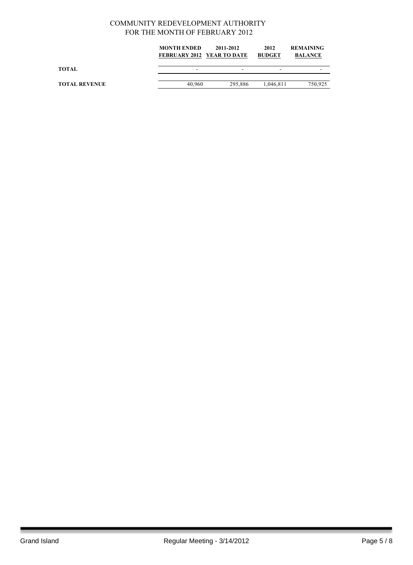|                      | <b>MONTH ENDED</b><br><b>FEBRUARY 2012 YEAR TO DATE</b> | 2011-2012 | 2012<br><b>BUDGET</b> | <b>REMAINING</b><br><b>BALANCE</b> |
|----------------------|---------------------------------------------------------|-----------|-----------------------|------------------------------------|
| TOTAL                |                                                         | -         |                       |                                    |
| <b>TOTAL REVENUE</b> | 40.960                                                  | 295.886   | 1,046,811             | 750.925                            |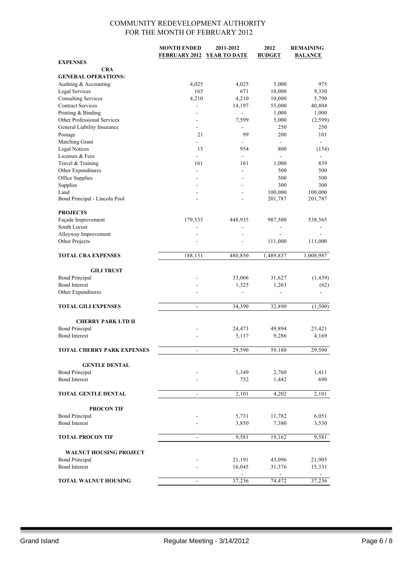|                                       | <b>MONTH ENDED</b>           | 2011-2012                | 2012           | <b>REMAINING</b> |
|---------------------------------------|------------------------------|--------------------------|----------------|------------------|
|                                       | FEBRUARY 2012 YEAR TO DATE   |                          | <b>BUDGET</b>  | <b>BALANCE</b>   |
| <b>EXPENSES</b>                       |                              |                          |                |                  |
| <b>CRA</b>                            |                              |                          |                |                  |
| <b>GENERAL OPERATIONS:</b>            |                              |                          |                |                  |
| Auditing & Accounting                 | 4,025                        | 4,025                    | 5,000          | 975              |
| <b>Legal Services</b>                 | 165                          | 671                      | 10,000         | 9,330            |
| <b>Consulting Services</b>            | 4,210                        | 4,210                    | 10,000         | 5,790            |
| <b>Contract Services</b>              | L,                           | 14,197                   | 55,000         | 40,804           |
| Printing & Binding                    |                              | ÷,                       | 1,000          | 1,000            |
| Other Professional Services           |                              | 7,599                    | 5,000          | (2, 599)         |
| General Liability Insurance           |                              | $\overline{\phantom{0}}$ | 250            | 250              |
| Postage                               | 21                           | 99                       | 200            | 101              |
| Matching Grant                        | ÷.                           |                          | $\blacksquare$ | $\blacksquare$   |
| <b>Legal Notices</b>                  | 15                           | 954                      | 800            | (154)            |
| Licenses & Fees                       | L.                           | ÷,                       | $\blacksquare$ |                  |
| Travel & Training                     | 161                          | 161                      | 1,000          | 839              |
| Other Expenditures                    | $\blacksquare$               | ä,                       | 500            | 500              |
| Office Supplies                       |                              |                          | 500            | 500              |
| Supplies                              |                              |                          | 300<br>100,000 | 300              |
| Land<br>Bond Principal - Lincoln Pool |                              | $\overline{a}$           |                | 100,000          |
|                                       |                              |                          | 201,787        | 201,787          |
| <b>PROJECTS</b>                       |                              |                          |                |                  |
| Façade Improvement                    | 179,535                      | 448,935                  | 987,500        | 538,565          |
| South Locust                          |                              | $\overline{a}$           | $\blacksquare$ |                  |
| Alleyway Improvement                  |                              |                          |                |                  |
| Other Projects                        |                              | ÷                        | 111,000        | 111,000          |
|                                       |                              |                          |                |                  |
| <b>TOTAL CRA EXPENSES</b>             | 188,131                      | 480,850                  | 1,489,837      | 1,008,987        |
|                                       |                              |                          |                |                  |
| <b>GILI TRUST</b>                     |                              |                          |                |                  |
| <b>Bond Principal</b>                 |                              | 33,066                   | 31,627         | (1, 439)         |
| <b>Bond Interest</b>                  |                              | 1,325                    | 1,263          | (62)             |
| Other Expenditures                    |                              |                          |                |                  |
|                                       |                              |                          |                |                  |
| <b>TOTAL GILI EXPENSES</b>            | $\overline{\phantom{a}}$     | 34,390                   | 32,890         | (1,500)          |
|                                       |                              |                          |                |                  |
| <b>CHERRY PARK LTD II</b>             |                              |                          |                |                  |
| <b>Bond Principal</b>                 |                              | 24,473                   | 49,894         | 25,421           |
| <b>Bond Interest</b>                  |                              | 5,117                    | 9,286          | 4,169            |
|                                       |                              |                          |                |                  |
| <b>TOTAL CHERRY PARK EXPENSES</b>     | $\overline{\phantom{a}}$     | 29,590                   | 59,180         | 29,590           |
|                                       |                              |                          |                |                  |
| <b>GENTLE DENTAL</b>                  |                              |                          |                |                  |
| <b>Bond Principal</b>                 |                              | 1,349                    | 2,760          | 1,411            |
| <b>Bond Interest</b>                  |                              | 752                      | 1,442          | 690              |
|                                       |                              |                          |                |                  |
| TOTAL GENTLE DENTAL                   | $\qquad \qquad \blacksquare$ | 2,101                    | 4,202          | 2,101            |
|                                       |                              |                          |                |                  |
| <b>PROCON TIF</b>                     |                              |                          |                |                  |
| <b>Bond Principal</b>                 |                              | 5,731                    | 11,782         | 6,051            |
| <b>Bond Interest</b>                  |                              | 3,850                    | 7,380          | 3,530            |
|                                       |                              |                          |                |                  |
| <b>TOTAL PROCON TIF</b>               | $\overline{\phantom{a}}$     | 9,581                    | 19,162         | 9,581            |
|                                       |                              |                          |                |                  |
| <b>WALNUT HOUSING PROJECT</b>         |                              |                          |                |                  |
| <b>Bond Principal</b>                 |                              | 21,191                   | 43,096         | 21,905           |
| <b>Bond Interest</b>                  |                              | 16,045                   | 31,376         | 15,331           |
|                                       |                              |                          |                | $\sim$           |
| <b>TOTAL WALNUT HOUSING</b>           |                              | 37,236                   | 74,472         | 37,236           |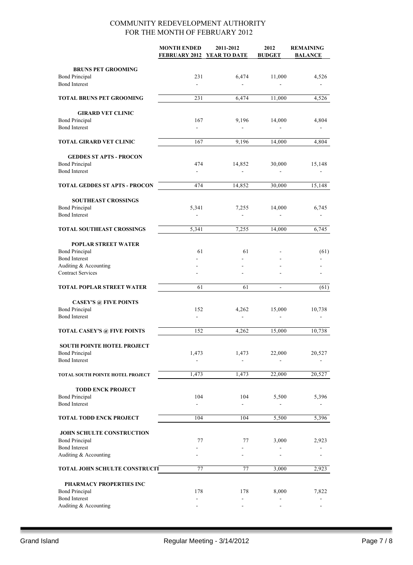|                                                   | <b>MONTH ENDED</b><br>FEBRUARY 2012 YEAR TO DATE | 2011-2012                | 2012<br><b>BUDGET</b>    | <b>REMAINING</b><br><b>BALANCE</b> |
|---------------------------------------------------|--------------------------------------------------|--------------------------|--------------------------|------------------------------------|
|                                                   |                                                  |                          |                          |                                    |
| <b>BRUNS PET GROOMING</b>                         |                                                  |                          |                          |                                    |
| <b>Bond Principal</b>                             | 231                                              | 6,474                    | 11,000                   | 4,526                              |
| <b>Bond Interest</b>                              | $\overline{\phantom{a}}$                         | $\overline{a}$           |                          |                                    |
| <b>TOTAL BRUNS PET GROOMING</b>                   | 231                                              | 6,474                    | 11,000                   | 4,526                              |
|                                                   |                                                  |                          |                          |                                    |
| <b>GIRARD VET CLINIC</b><br><b>Bond Principal</b> | 167                                              | 9,196                    | 14,000                   | 4,804                              |
| <b>Bond Interest</b>                              | $\overline{\phantom{a}}$                         |                          |                          |                                    |
| TOTAL GIRARD VET CLINIC                           | 167                                              | 9,196                    | 14,000                   | 4,804                              |
|                                                   |                                                  |                          |                          |                                    |
| <b>GEDDES ST APTS - PROCON</b>                    |                                                  |                          |                          |                                    |
| <b>Bond Principal</b><br><b>Bond Interest</b>     | 474<br>$\blacksquare$                            | 14,852<br>÷.             | 30,000                   | 15,148                             |
|                                                   |                                                  |                          |                          |                                    |
| <b>TOTAL GEDDES ST APTS - PROCON</b>              | 474                                              | 14,852                   | 30,000                   | 15,148                             |
| <b>SOUTHEAST CROSSINGS</b>                        |                                                  |                          |                          |                                    |
| <b>Bond Principal</b>                             | 5,341                                            | 7,255                    | 14,000                   | 6,745                              |
| <b>Bond Interest</b>                              |                                                  |                          |                          |                                    |
| <b>TOTAL SOUTHEAST CROSSINGS</b>                  | 5,341                                            | 7,255                    | 14,000                   | 6,745                              |
| <b>POPLAR STREET WATER</b>                        |                                                  |                          |                          |                                    |
| <b>Bond Principal</b>                             | 61                                               | 61                       |                          | (61)                               |
| <b>Bond Interest</b>                              |                                                  |                          |                          |                                    |
| Auditing & Accounting                             |                                                  |                          |                          |                                    |
| <b>Contract Services</b>                          |                                                  |                          |                          |                                    |
| TOTAL POPLAR STREET WATER                         | 61                                               | 61                       | $\overline{\phantom{a}}$ | (61)                               |
| <b>CASEY'S @ FIVE POINTS</b>                      |                                                  |                          |                          |                                    |
| <b>Bond Principal</b>                             | 152                                              | 4,262                    | 15,000                   | 10,738                             |
| <b>Bond Interest</b>                              | $\overline{\phantom{a}}$                         | $\overline{\phantom{0}}$ | $\overline{\phantom{a}}$ | -                                  |
| <b>TOTAL CASEY'S @ FIVE POINTS</b>                | 152                                              | 4,262                    | 15,000                   | 10,738                             |
|                                                   |                                                  |                          |                          |                                    |
| <b>SOUTH POINTE HOTEL PROJECT</b>                 |                                                  |                          |                          |                                    |
| <b>Bond Principal</b><br><b>Bond Interest</b>     | 1,473                                            | 1,473                    | 22,000                   | 20,527                             |
|                                                   |                                                  |                          |                          |                                    |
| TOTAL SOUTH POINTE HOTEL PROJECT                  | 1,473                                            | 1,473                    | 22,000                   | 20,527                             |
| <b>TODD ENCK PROJECT</b>                          |                                                  |                          |                          |                                    |
| <b>Bond Principal</b>                             | 104                                              | 104                      | 5,500                    | 5,396                              |
| <b>Bond Interest</b>                              |                                                  |                          |                          |                                    |
| <b>TOTAL TODD ENCK PROJECT</b>                    | 104                                              | 104                      | 5,500                    | 5,396                              |
| JOHN SCHULTE CONSTRUCTION                         |                                                  |                          |                          |                                    |
| <b>Bond Principal</b>                             | 77                                               | 77                       | 3,000                    | 2,923                              |
| <b>Bond Interest</b>                              |                                                  |                          |                          |                                    |
| Auditing & Accounting                             |                                                  |                          |                          |                                    |
| <b>TOTAL JOHN SCHULTE CONSTRUCIT</b>              | 77                                               | 77                       | 3,000                    | 2,923                              |
| PHARMACY PROPERTIES INC                           |                                                  |                          |                          |                                    |
| <b>Bond Principal</b>                             | 178                                              | 178                      | 8,000                    | 7,822                              |
| <b>Bond Interest</b>                              | $\sim$                                           | ۰                        |                          |                                    |
| Auditing & Accounting                             |                                                  |                          |                          |                                    |